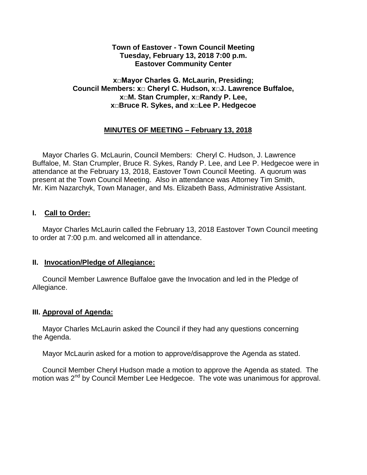#### **Town of Eastover - Town Council Meeting Tuesday, February 13, 2018 7:00 p.m. Eastover Community Center**

#### **x□Mayor Charles G. McLaurin, Presiding; Council Members: x□ Cheryl C. Hudson, x□J. Lawrence Buffaloe, x□M. Stan Crumpler, x□Randy P. Lee, x□Bruce R. Sykes, and x□Lee P. Hedgecoe**

## **MINUTES OF MEETING – February 13, 2018**

 Mayor Charles G. McLaurin, Council Members: Cheryl C. Hudson, J. Lawrence Buffaloe, M. Stan Crumpler, Bruce R. Sykes, Randy P. Lee, and Lee P. Hedgecoe were in attendance at the February 13, 2018, Eastover Town Council Meeting. A quorum was present at the Town Council Meeting. Also in attendance was Attorney Tim Smith, Mr. Kim Nazarchyk, Town Manager, and Ms. Elizabeth Bass, Administrative Assistant.

### **I. Call to Order:**

 Mayor Charles McLaurin called the February 13, 2018 Eastover Town Council meeting to order at 7:00 p.m. and welcomed all in attendance.

#### **II. Invocation/Pledge of Allegiance:**

 Council Member Lawrence Buffaloe gave the Invocation and led in the Pledge of Allegiance.

#### **III. Approval of Agenda:**

 Mayor Charles McLaurin asked the Council if they had any questions concerning the Agenda.

Mayor McLaurin asked for a motion to approve/disapprove the Agenda as stated.

 Council Member Cheryl Hudson made a motion to approve the Agenda as stated. The motion was 2<sup>nd</sup> by Council Member Lee Hedgecoe. The vote was unanimous for approval.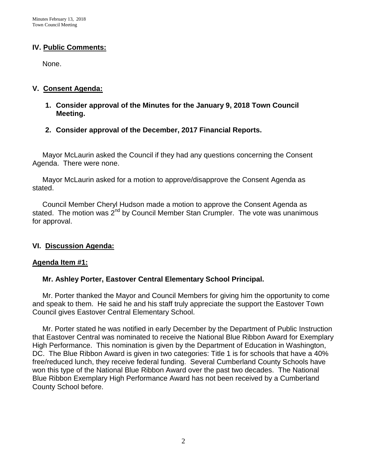#### **IV. Public Comments:**

None.

#### **V. Consent Agenda:**

- **1. Consider approval of the Minutes for the January 9, 2018 Town Council Meeting.**
- **2. Consider approval of the December, 2017 Financial Reports.**

 Mayor McLaurin asked the Council if they had any questions concerning the Consent Agenda. There were none.

 Mayor McLaurin asked for a motion to approve/disapprove the Consent Agenda as stated.

 Council Member Cheryl Hudson made a motion to approve the Consent Agenda as stated. The motion was  $2^{nd}$  by Council Member Stan Crumpler. The vote was unanimous for approval.

## **VI. Discussion Agenda:**

#### **Agenda Item #1:**

#### **Mr. Ashley Porter, Eastover Central Elementary School Principal.**

Mr. Porter thanked the Mayor and Council Members for giving him the opportunity to come and speak to them. He said he and his staff truly appreciate the support the Eastover Town Council gives Eastover Central Elementary School.

 Mr. Porter stated he was notified in early December by the Department of Public Instruction that Eastover Central was nominated to receive the National Blue Ribbon Award for Exemplary High Performance. This nomination is given by the Department of Education in Washington, DC. The Blue Ribbon Award is given in two categories: Title 1 is for schools that have a 40% free/reduced lunch, they receive federal funding. Several Cumberland County Schools have won this type of the National Blue Ribbon Award over the past two decades. The National Blue Ribbon Exemplary High Performance Award has not been received by a Cumberland County School before.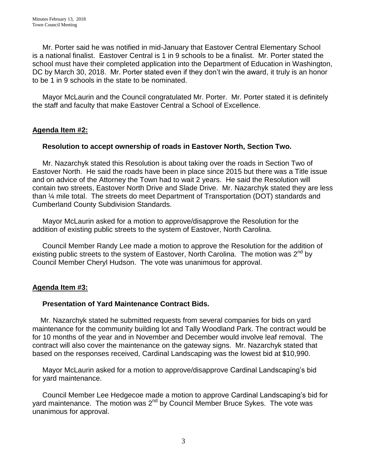Mr. Porter said he was notified in mid-January that Eastover Central Elementary School is a national finalist. Eastover Central is 1 in 9 schools to be a finalist. Mr. Porter stated the school must have their completed application into the Department of Education in Washington, DC by March 30, 2018. Mr. Porter stated even if they don't win the award, it truly is an honor to be 1 in 9 schools in the state to be nominated.

 Mayor McLaurin and the Council congratulated Mr. Porter. Mr. Porter stated it is definitely the staff and faculty that make Eastover Central a School of Excellence.

### **Agenda Item #2:**

#### **Resolution to accept ownership of roads in Eastover North, Section Two.**

Mr. Nazarchyk stated this Resolution is about taking over the roads in Section Two of Eastover North. He said the roads have been in place since 2015 but there was a Title issue and on advice of the Attorney the Town had to wait 2 years. He said the Resolution will contain two streets, Eastover North Drive and Slade Drive. Mr. Nazarchyk stated they are less than ¼ mile total. The streets do meet Department of Transportation (DOT) standards and Cumberland County Subdivision Standards.

 Mayor McLaurin asked for a motion to approve/disapprove the Resolution for the addition of existing public streets to the system of Eastover, North Carolina.

 Council Member Randy Lee made a motion to approve the Resolution for the addition of existing public streets to the system of Eastover, North Carolina. The motion was 2<sup>nd</sup> by Council Member Cheryl Hudson. The vote was unanimous for approval.

## **Agenda Item #3:**

#### **Presentation of Yard Maintenance Contract Bids.**

 Mr. Nazarchyk stated he submitted requests from several companies for bids on yard maintenance for the community building lot and Tally Woodland Park. The contract would be for 10 months of the year and in November and December would involve leaf removal. The contract will also cover the maintenance on the gateway signs. Mr. Nazarchyk stated that based on the responses received, Cardinal Landscaping was the lowest bid at \$10,990.

 Mayor McLaurin asked for a motion to approve/disapprove Cardinal Landscaping's bid for yard maintenance.

 Council Member Lee Hedgecoe made a motion to approve Cardinal Landscaping's bid for yard maintenance. The motion was  $2<sup>nd</sup>$  by Council Member Bruce Sykes. The vote was unanimous for approval.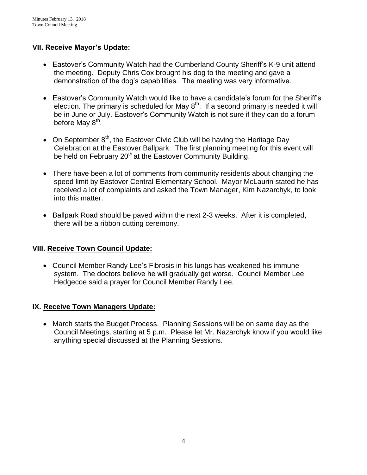### **VII. Receive Mayor's Update:**

- Eastover's Community Watch had the Cumberland County Sheriff's K-9 unit attend the meeting. Deputy Chris Cox brought his dog to the meeting and gave a demonstration of the dog's capabilities. The meeting was very informative.
- Eastover's Community Watch would like to have a candidate's forum for the Sheriff's election. The primary is scheduled for May  $8<sup>th</sup>$ . If a second primary is needed it will be in June or July. Eastover's Community Watch is not sure if they can do a forum before May 8<sup>th</sup>.
- On September  $8<sup>th</sup>$ , the Eastover Civic Club will be having the Heritage Day Celebration at the Eastover Ballpark. The first planning meeting for this event will be held on February 20<sup>th</sup> at the Eastover Community Building.
- There have been a lot of comments from community residents about changing the speed limit by Eastover Central Elementary School. Mayor McLaurin stated he has received a lot of complaints and asked the Town Manager, Kim Nazarchyk, to look into this matter.
- Ballpark Road should be paved within the next 2-3 weeks. After it is completed, there will be a ribbon cutting ceremony.

## **VIII. Receive Town Council Update:**

 Council Member Randy Lee's Fibrosis in his lungs has weakened his immune system. The doctors believe he will gradually get worse. Council Member Lee Hedgecoe said a prayer for Council Member Randy Lee.

#### **IX. Receive Town Managers Update:**

 March starts the Budget Process. Planning Sessions will be on same day as the Council Meetings, starting at 5 p.m. Please let Mr. Nazarchyk know if you would like anything special discussed at the Planning Sessions.